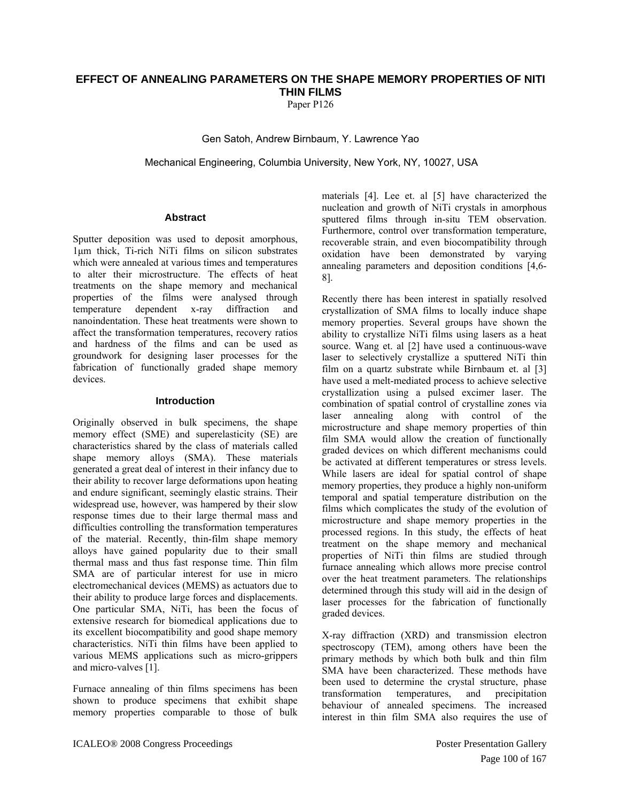# **EFFECT OF ANNEALING PARAMETERS ON THE SHAPE MEMORY PROPERTIES OF NITI THIN FILMS**

Paper P<sub>126</sub>

Gen Satoh, Andrew Birnbaum, Y. Lawrence Yao

Mechanical Engineering, Columbia University, New York, NY, 10027, USA

## **Abstract**

Sputter deposition was used to deposit amorphous, 1μm thick, Ti-rich NiTi films on silicon substrates which were annealed at various times and temperatures to alter their microstructure. The effects of heat treatments on the shape memory and mechanical properties of the films were analysed through temperature dependent x-ray diffraction and nanoindentation. These heat treatments were shown to affect the transformation temperatures, recovery ratios and hardness of the films and can be used as groundwork for designing laser processes for the fabrication of functionally graded shape memory devices.

## **Introduction**

Originally observed in bulk specimens, the shape memory effect (SME) and superelasticity (SE) are characteristics shared by the class of materials called shape memory alloys (SMA). These materials generated a great deal of interest in their infancy due to their ability to recover large deformations upon heating and endure significant, seemingly elastic strains. Their widespread use, however, was hampered by their slow response times due to their large thermal mass and difficulties controlling the transformation temperatures of the material. Recently, thin-film shape memory alloys have gained popularity due to their small thermal mass and thus fast response time. Thin film SMA are of particular interest for use in micro electromechanical devices (MEMS) as actuators due to their ability to produce large forces and displacements. One particular SMA, NiTi, has been the focus of extensive research for biomedical applications due to its excellent biocompatibility and good shape memory characteristics. NiTi thin films have been applied to various MEMS applications such as micro-grippers and micro-valves [1].

Furnace annealing of thin films specimens has been shown to produce specimens that exhibit shape memory properties comparable to those of bulk materials [4]. Lee et. al [5] have characterized the nucleation and growth of NiTi crystals in amorphous sputtered films through in-situ TEM observation. Furthermore, control over transformation temperature, recoverable strain, and even biocompatibility through oxidation have been demonstrated by varying annealing parameters and deposition conditions [4,6- 8].

Recently there has been interest in spatially resolved crystallization of SMA films to locally induce shape memory properties. Several groups have shown the ability to crystallize NiTi films using lasers as a heat source. Wang et. al [2] have used a continuous-wave laser to selectively crystallize a sputtered NiTi thin film on a quartz substrate while Birnbaum et. al [3] have used a melt-mediated process to achieve selective crystallization using a pulsed excimer laser. The combination of spatial control of crystalline zones via laser annealing along with control of the microstructure and shape memory properties of thin film SMA would allow the creation of functionally graded devices on which different mechanisms could be activated at different temperatures or stress levels. While lasers are ideal for spatial control of shape memory properties, they produce a highly non-uniform temporal and spatial temperature distribution on the films which complicates the study of the evolution of microstructure and shape memory properties in the processed regions. In this study, the effects of heat treatment on the shape memory and mechanical properties of NiTi thin films are studied through furnace annealing which allows more precise control over the heat treatment parameters. The relationships determined through this study will aid in the design of laser processes for the fabrication of functionally graded devices.

X-ray diffraction (XRD) and transmission electron spectroscopy (TEM), among others have been the primary methods by which both bulk and thin film SMA have been characterized. These methods have been used to determine the crystal structure, phase transformation temperatures, and precipitation behaviour of annealed specimens. The increased interest in thin film SMA also requires the use of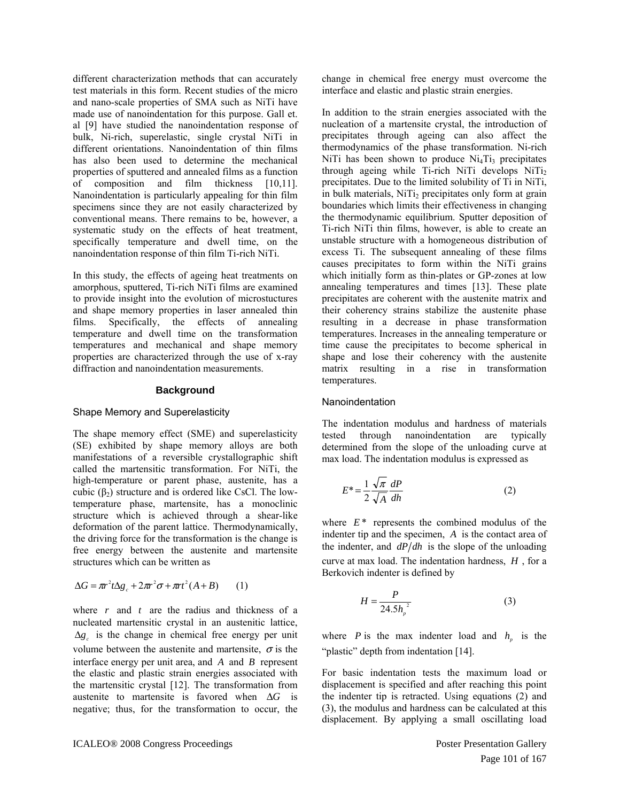different characterization methods that can accurately test materials in this form. Recent studies of the micro and nano-scale properties of SMA such as NiTi have made use of nanoindentation for this purpose. Gall et. al [9] have studied the nanoindentation response of bulk, Ni-rich, superelastic, single crystal NiTi in different orientations. Nanoindentation of thin films has also been used to determine the mechanical properties of sputtered and annealed films as a function of composition and film thickness [10,11]. Nanoindentation is particularly appealing for thin film specimens since they are not easily characterized by conventional means. There remains to be, however, a systematic study on the effects of heat treatment, specifically temperature and dwell time, on the nanoindentation response of thin film Ti-rich NiTi.

In this study, the effects of ageing heat treatments on amorphous, sputtered, Ti-rich NiTi films are examined to provide insight into the evolution of microstuctures and shape memory properties in laser annealed thin films. Specifically, the effects of annealing temperature and dwell time on the transformation temperatures and mechanical and shape memory properties are characterized through the use of x-ray diffraction and nanoindentation measurements.

## **Background**

# Shape Memory and Superelasticity

The shape memory effect (SME) and superelasticity (SE) exhibited by shape memory alloys are both manifestations of a reversible crystallographic shift called the martensitic transformation. For NiTi, the high-temperature or parent phase, austenite, has a cubic  $(\beta_2)$  structure and is ordered like CsCl. The lowtemperature phase, martensite, has a monoclinic structure which is achieved through a shear-like deformation of the parent lattice. Thermodynamically, the driving force for the transformation is the change is free energy between the austenite and martensite structures which can be written as

$$
\Delta G = \pi r^2 t \Delta g_c + 2\pi r^2 \sigma + \pi r^2 (A + B) \qquad (1)
$$

where *r* and *t* are the radius and thickness of a nucleated martensitic crystal in an austenitic lattice,  $\Delta g_c$  is the change in chemical free energy per unit volume between the austenite and martensite,  $\sigma$  is the interface energy per unit area, and  $A$  and  $B$  represent the elastic and plastic strain energies associated with the martensitic crystal [12]. The transformation from austenite to martensite is favored when  $\Delta G$  is negative; thus, for the transformation to occur, the

change in chemical free energy must overcome the interface and elastic and plastic strain energies.

In addition to the strain energies associated with the nucleation of a martensite crystal, the introduction of precipitates through ageing can also affect the thermodynamics of the phase transformation. Ni-rich NiTi has been shown to produce  $Ni<sub>4</sub>Ti<sub>3</sub>$  precipitates through ageing while Ti-rich NiTi develops NiTi<sub>2</sub> precipitates. Due to the limited solubility of Ti in NiTi, in bulk materials, NiTi<sub>2</sub> precipitates only form at grain boundaries which limits their effectiveness in changing the thermodynamic equilibrium. Sputter deposition of Ti-rich NiTi thin films, however, is able to create an unstable structure with a homogeneous distribution of excess Ti. The subsequent annealing of these films causes precipitates to form within the NiTi grains which initially form as thin-plates or GP-zones at low annealing temperatures and times [13]. These plate precipitates are coherent with the austenite matrix and their coherency strains stabilize the austenite phase resulting in a decrease in phase transformation temperatures. Increases in the annealing temperature or time cause the precipitates to become spherical in shape and lose their coherency with the austenite matrix resulting in a rise in transformation temperatures.

## Nanoindentation

The indentation modulus and hardness of materials tested through nanoindentation are typically determined from the slope of the unloading curve at max load. The indentation modulus is expressed as

$$
E^* = \frac{1}{2} \frac{\sqrt{\pi}}{\sqrt{A}} \frac{dP}{dh}
$$
 (2)

where  $E^*$  represents the combined modulus of the indenter tip and the specimen, *A* is the contact area of the indenter, and  $dP/dh$  is the slope of the unloading curve at max load. The indentation hardness, *H* , for a Berkovich indenter is defined by

$$
H = \frac{P}{24.5h_p^2} \tag{3}
$$

where *P* is the max indenter load and  $h_p$  is the "plastic" depth from indentation [14].

For basic indentation tests the maximum load or displacement is specified and after reaching this point the indenter tip is retracted. Using equations (2) and (3), the modulus and hardness can be calculated at this displacement. By applying a small oscillating load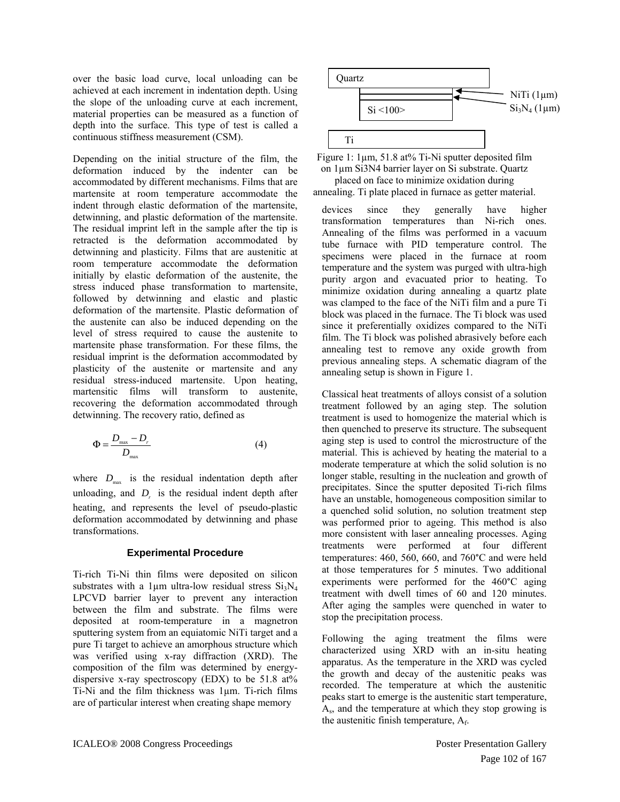over the basic load curve, local unloading can be achieved at each increment in indentation depth. Using the slope of the unloading curve at each increment, material properties can be measured as a function of depth into the surface. This type of test is called a continuous stiffness measurement (CSM).

Depending on the initial structure of the film, the deformation induced by the indenter can be accommodated by different mechanisms. Films that are martensite at room temperature accommodate the indent through elastic deformation of the martensite, detwinning, and plastic deformation of the martensite. The residual imprint left in the sample after the tip is retracted is the deformation accommodated by detwinning and plasticity. Films that are austenitic at room temperature accommodate the deformation initially by elastic deformation of the austenite, the stress induced phase transformation to martensite, followed by detwinning and elastic and plastic deformation of the martensite. Plastic deformation of the austenite can also be induced depending on the level of stress required to cause the austenite to martensite phase transformation. For these films, the residual imprint is the deformation accommodated by plasticity of the austenite or martensite and any residual stress-induced martensite. Upon heating, martensitic films will transform to austenite, recovering the deformation accommodated through detwinning. The recovery ratio, defined as

$$
\Phi = \frac{D_{\text{max}} - D_r}{D_{\text{max}}} \tag{4}
$$

where  $D_{\text{max}}$  is the residual indentation depth after unloading, and  $D<sub>r</sub>$  is the residual indent depth after heating, and represents the level of pseudo-plastic deformation accommodated by detwinning and phase transformations.

## **Experimental Procedure**

Ti-rich Ti-Ni thin films were deposited on silicon substrates with a 1 $\mu$ m ultra-low residual stress  $Si<sub>3</sub>N<sub>4</sub>$ LPCVD barrier layer to prevent any interaction between the film and substrate. The films were deposited at room-temperature in a magnetron sputtering system from an equiatomic NiTi target and a pure Ti target to achieve an amorphous structure which was verified using x-ray diffraction (XRD). The composition of the film was determined by energydispersive x-ray spectroscopy (EDX) to be  $51.8 \text{ at} \%$ Ti-Ni and the film thickness was 1µm. Ti-rich films are of particular interest when creating shape memory





annealing setup is shown in Figure 1. devices since they generally have higher transformation temperatures than Ni-rich ones. Annealing of the films was performed in a vacuum tube furnace with PID temperature control. The specimens were placed in the furnace at room temperature and the system was purged with ultra-high purity argon and evacuated prior to heating. To minimize oxidation during annealing a quartz plate was clamped to the face of the NiTi film and a pure Ti block was placed in the furnace. The Ti block was used since it preferentially oxidizes compared to the NiTi film. The Ti block was polished abrasively before each annealing test to remove any oxide growth from previous annealing steps. A schematic diagram of the

Classical heat treatments of alloys consist of a solution treatment followed by an aging step. The solution treatment is used to homogenize the material which is then quenched to preserve its structure. The subsequent aging step is used to control the microstructure of the material. This is achieved by heating the material to a moderate temperature at which the solid solution is no longer stable, resulting in the nucleation and growth of precipitates. Since the sputter deposited Ti-rich films have an unstable, homogeneous composition similar to a quenched solid solution, no solution treatment step was performed prior to ageing. This method is also more consistent with laser annealing processes. Aging treatments were performed at four different temperatures: 460, 560, 660, and 760°C and were held at those temperatures for 5 minutes. Two additional experiments were performed for the 460°C aging treatment with dwell times of 60 and 120 minutes. After aging the samples were quenched in water to stop the precipitation process.

Following the aging treatment the films were characterized using XRD with an in-situ heating apparatus. As the temperature in the XRD was cycled the growth and decay of the austenitic peaks was recorded. The temperature at which the austenitic peaks start to emerge is the austenitic start temperature, As, and the temperature at which they stop growing is the austenitic finish temperature,  $A_f$ .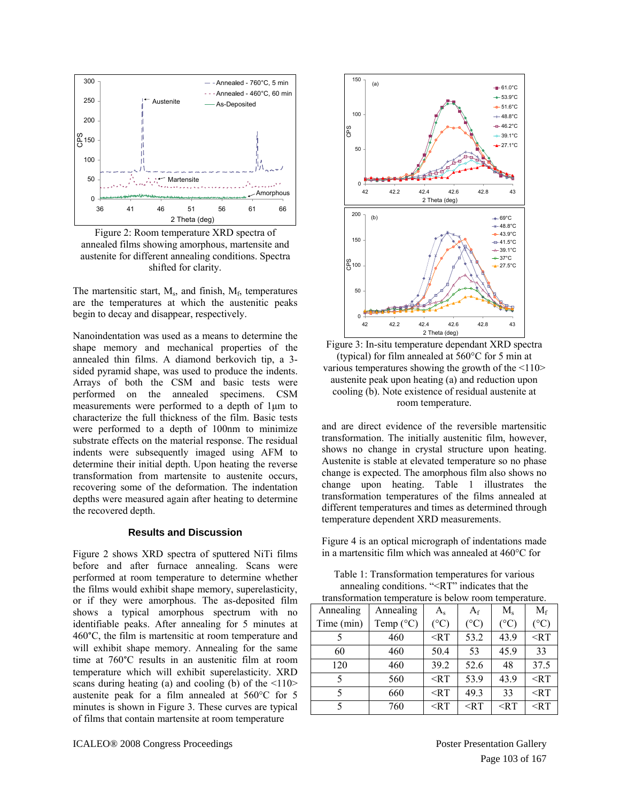

<span id="page-3-0"></span>Figure 2: Room temperature XRD spectra of annealed films showing amorphous, martensite and austenite for different annealing conditions. Spectra shifted for clarity.

The martensitic start,  $M_s$ , and finish,  $M_f$ , temperatures are the temperatures at which the austenitic peaks begin to decay and disappear, respectively.

<span id="page-3-1"></span>Nanoindentation was used as a means to determine the shape memory and mechanical properties of the annealed thin films. A diamond berkovich tip, a 3 sided pyramid shape, was used to produce the indents. Arrays of both the CSM and basic tests were performed on the annealed specimens. CSM measurements were performed to a depth of 1μm to characterize the full thickness of the film. Basic tests were performed to a depth of 100nm to minimize substrate effects on the material response. The residual indents were subsequently imaged using AFM to determine their initial depth. Upon heating the reverse transformation from martensite to austenite occurs, recovering some of the deformation. The indentation depths were measured again after heating to determine the recovered depth.

## **Results and Discussion**

<span id="page-3-2"></span>[Figure 2](#page-3-0) shows XRD spectra of sputtered NiTi films before and after furnace annealing. Scans were performed at room temperature to determine whether the films would exhibit shape memory, superelasticity, or if they were amorphous. The as-deposited film shows a typical amorphous spectrum with no identifiable peaks. After annealing for 5 minutes at 460°C, the film is martensitic at room temperature and will exhibit shape memory. Annealing for the same time at 760°C results in an austenitic film at room temperature which will exhibit superelasticity. XRD scans during heating (a) and cooling (b) of the  $\langle 110 \rangle$ austenite peak for a film annealed at 560°C for 5 minutes is shown in [Figure 3](#page-3-1). These curves are typical of films that contain martensite at room temperature



50

100

CPS

150

(a)

and are direct evidence of the reversible martensitic transformation. The initially austenitic film, however, shows no change in crystal structure upon heating. Austenite is stable at elevated temperature so no phase change is expected. The amorphous film also shows no change upon heating. [Table 1](#page-3-2) illustrates the transformation temperatures of the films annealed at different temperatures and times as determined through temperature dependent XRD measurements.

room temperature.

[Figure 4](#page-4-0) is an optical micrograph of indentations made in a martensitic film which was annealed at 460°C for

Table 1: Transformation temperatures for various annealing conditions. "<RT" indicates that the

| transformation temperature is below room temperature. |                    |               |                 |               |               |
|-------------------------------------------------------|--------------------|---------------|-----------------|---------------|---------------|
| Annealing                                             | Annealing          | $A_{s}$       | $A_{\rm f}$     | $M_{s}$       | $M_f$         |
| Time (min)                                            | Temp $(^{\circ}C)$ | $(^{\circ}C)$ | $({}^{\circ}C)$ | $(^{\circ}C)$ | $(^{\circ}C)$ |
|                                                       | 460                | $<$ RT        | 53.2            | 43.9          | $<$ RT        |
| 60                                                    | 460                | 50.4          | 53              | 45.9          | 33            |
| 120                                                   | 460                | 39.2          | 52.6            | 48            | 37.5          |
| 5                                                     | 560                | $\leq$ RT     | 53.9            | 43.9          | $<$ RT        |
|                                                       | 660                | $\leq$ RT     | 49.3            | 33            | $<$ RT        |
|                                                       | 760                | $<$ RT        | $<$ RT          | $<$ RT        | $<$ RT        |

 $-61.0^{\circ}$ C  $+53.9^{\circ}C$  $-6.51.6^{\circ}$ C  $+48.8^{\circ}$ C  $+46.2^{\circ}$ C  $49.1^{\circ}$ C  $-27.1^{\circ}$ C

+69°C  $*48.8^{\circ}$ C  $-43.9^{\circ}$ C  $+41.5^{\circ}$ C  $+39.1^{\circ}$ C  $\rightarrow 37^{\circ}$ C  $+27.5^{\circ}$ C

Þ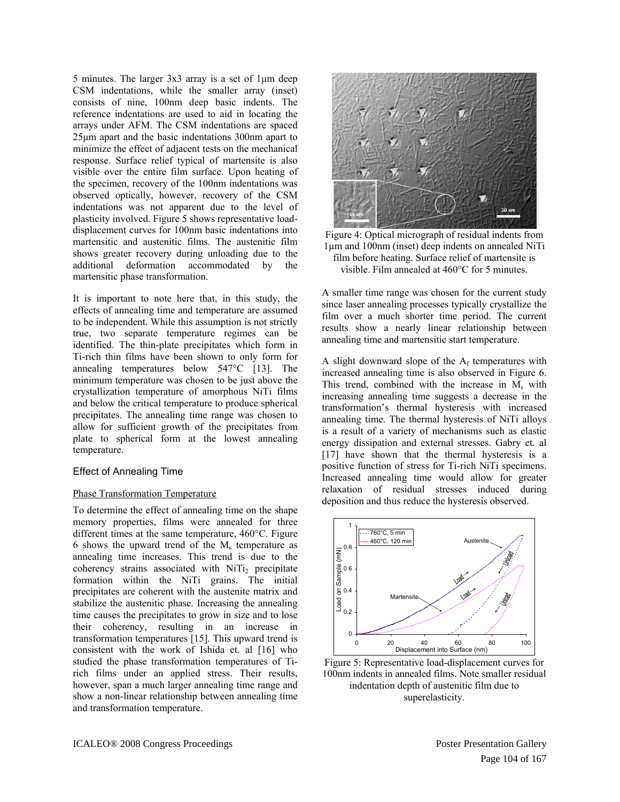5 minutes. The larger 3x3 array is a set of 1μm deep CSM indentations, while the smaller array (inset) consists of nine, 100nm deep basic indents. The reference indentations are used to aid in locating the arrays under AFM. The CSM indentations are spaced 25μm apart and the basic indentations 300nm apart to minimize the effect of adjacent tests on the mechanical response. Surface relief typical of martensite is also visible over the entire film surface. Upon heating of the specimen, recovery of the 100nm indentations was observed optically, however, recovery of the CSM indentations was not apparent due to the level of plasticity involved. [Figure 5](#page-4-1) shows representative loaddisplacement curves for 100nm basic indentations into martensitic and austenitic films. The austenitic film shows greater recovery during unloading due to the additional deformation accommodated by the martensitic phase transformation.

<span id="page-4-0"></span>It is important to note here that, in this study, the effects of annealing time and temperature are assumed to be independent. While this assumption is not strictly true, two separate temperature regimes can be identified. The thin-plate precipitates which form in Ti-rich thin films have been shown to only form for annealing temperatures below 547°C [13]. The minimum temperature was chosen to be just above the crystallization temperature of amorphous NiTi films and below the critical temperature to produce spherical precipitates. The annealing time range was chosen to allow for sufficient growth of the precipitates from plate to spherical form at the lowest annealing temperature.

# Effect of Annealing Time

# Phase Transformation Temperature

<span id="page-4-1"></span>To determine the effect of annealing time on the shape memory properties, films were annealed for three different times at the same temperature, 460°C. [Figure](#page-5-0)  [6](#page-5-0) shows the upward trend of the  $M_s$  temperature as annealing time increases. This trend is due to the coherency strains associated with  $NiT_{12}$  precipitate formation within the NiTi grains. The initial precipitates are coherent with the austenite matrix and stabilize the austenitic phase. Increasing the annealing time causes the precipitates to grow in size and to lose their coherency, resulting in an increase in transformation temperatures [15]. This upward trend is consistent with the work of Ishida et. al [16] who studied the phase transformation temperatures of Tirich films under an applied stress. Their results, however, span a much larger annealing time range and show a non-linear relationship between annealing time and transformation temperature.



Figure 4: Optical micrograph of residual indents from 1µm and 100nm (inset) deep indents on annealed NiTi film before heating. Surface relief of martensite is visible. Film annealed at 460°C for 5 minutes.

A smaller time range was chosen for the current study since laser annealing processes typically crystallize the film over a much shorter time period. The current results show a nearly linear relationship between annealing time and martensitic start temperature.

A slight downward slope of the  $A_f$  temperatures with increased annealing time is also observed in [Figure 6.](#page-5-0) This trend, combined with the increase in  $M_s$  with increasing annealing time suggests a decrease in the transformation's thermal hysteresis with increased annealing time. The thermal hysteresis of NiTi alloys is a result of a variety of mechanisms such as elastic energy dissipation and external stresses. Gabry et. al [17] have shown that the thermal hysteresis is a positive function of stress for Ti-rich NiTi specimens. Increased annealing time would allow for greater relaxation of residual stresses induced during deposition and thus reduce the hysteresis observed.



Figure 5: Representative load-displacement curves for 100nm indents in annealed films. Note smaller residual indentation depth of austenitic film due to superelasticity.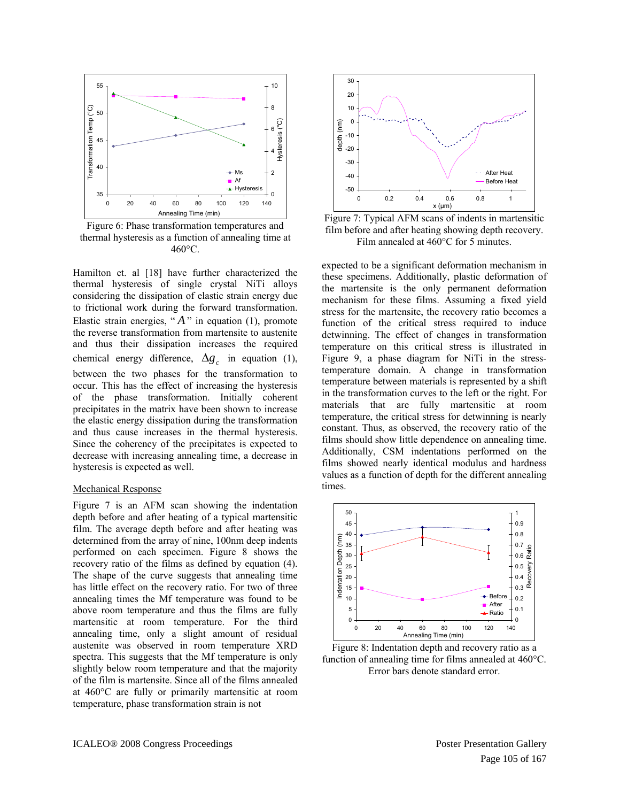

<span id="page-5-1"></span><span id="page-5-0"></span>Figure 6: Phase transformation temperatures and thermal hysteresis as a function of annealing time at 460°C.

Hamilton et. al [18] have further characterized the thermal hysteresis of single crystal NiTi alloys considering the dissipation of elastic strain energy due to frictional work during the forward transformation. Elastic strain energies, " $A$ " in equation (1), promote the reverse transformation from martensite to austenite and thus their dissipation increases the required chemical energy difference,  $\Delta g_c$  in equation (1), between the two phases for the transformation to occur. This has the effect of increasing the hysteresis of the phase transformation. Initially coherent precipitates in the matrix have been shown to increase the elastic energy dissipation during the transformation and thus cause increases in the thermal hysteresis. Since the coherency of the precipitates is expected to decrease with increasing annealing time, a decrease in hysteresis is expected as well.

#### Mechanical Response

<span id="page-5-2"></span>[Figure 7](#page-5-1) is an AFM scan showing the indentation depth before and after heating of a typical martensitic film. The average depth before and after heating was determined from the array of nine, 100nm deep indents performed on each specimen. [Figure 8](#page-5-2) shows the recovery ratio of the films as defined by equation (4). The shape of the curve suggests that annealing time has little effect on the recovery ratio. For two of three annealing times the Mf temperature was found to be above room temperature and thus the films are fully martensitic at room temperature. For the third annealing time, only a slight amount of residual austenite was observed in room temperature XRD spectra. This suggests that the Mf temperature is only slightly below room temperature and that the majority of the film is martensite. Since all of the films annealed at 460°C are fully or primarily martensitic at room temperature, phase transformation strain is not



Figure 7: Typical AFM scans of indents in martensitic film before and after heating showing depth recovery. Film annealed at 460°C for 5 minutes.

expected to be a significant deformation mechanism in these specimens. Additionally, plastic deformation of the martensite is the only permanent deformation mechanism for these films. Assuming a fixed yield stress for the martensite, the recovery ratio becomes a function of the critical stress required to induce detwinning. The effect of changes in transformation temperature on this critical stress is illustrated in [Figure 9,](#page-6-0) a phase diagram for NiTi in the stresstemperature domain. A change in transformation temperature between materials is represented by a shift in the transformation curves to the left or the right. For materials that are fully martensitic at room temperature, the critical stress for detwinning is nearly constant. Thus, as observed, the recovery ratio of the films should show little dependence on annealing time. Additionally, CSM indentations performed on the films showed nearly identical modulus and hardness values as a function of depth for the different annealing times.



 Figure 8: Indentation depth and recovery ratio as a function of annealing time for films annealed at 460°C. Error bars denote standard error.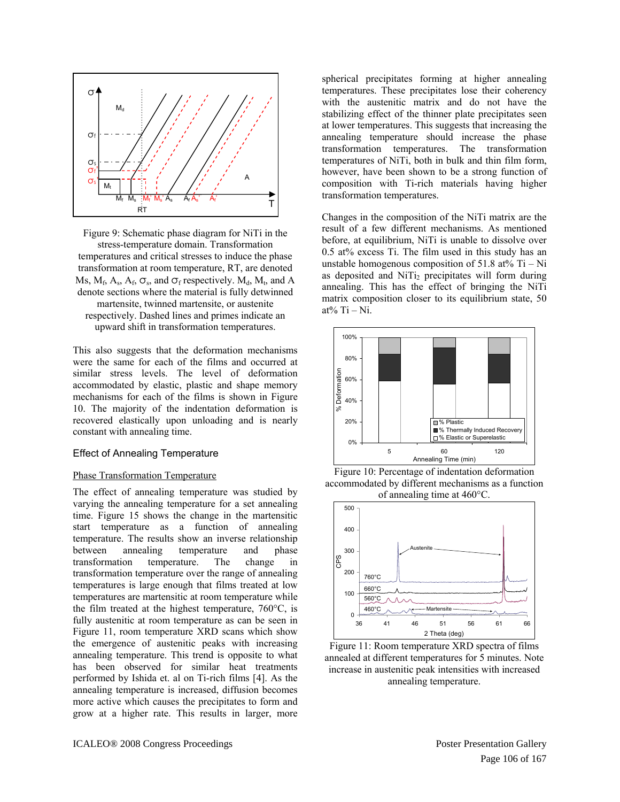

<span id="page-6-0"></span>Figure 9: Schematic phase diagram for NiTi in the stress-temperature domain. Transformation temperatures and critical stresses to induce the phase transformation at room temperature, RT, are denoted Ms,  $M_f$ ,  $A_s$ ,  $A_f$ ,  $\sigma_s$ , and  $\sigma_f$  respectively.  $M_d$ ,  $M_t$ , and A denote sections where the material is fully detwinned martensite, twinned martensite, or austenite respectively. Dashed lines and primes indicate an upward shift in transformation temperatures.

This also suggests that the deformation mechanisms were the same for each of the films and occurred at similar stress levels. The level of deformation accommodated by elastic, plastic and shape memory mechanisms for each of the films is shown in [Figure](#page-6-1)  [10](#page-6-1). The majority of the indentation deformation is recovered elastically upon unloading and is nearly constant with annealing time.

## Effect of Annealing Temperature

## <span id="page-6-1"></span>Phase Transformation Temperature

<span id="page-6-2"></span>The effect of annealing temperature was studied by varying the annealing temperature for a set annealing time. [Figure 15](#page-8-0) shows the change in the martensitic start temperature as a function of annealing temperature. The results show an inverse relationship between annealing temperature and phase transformation temperature. The change in transformation temperature over the range of annealing temperatures is large enough that films treated at low temperatures are martensitic at room temperature while the film treated at the highest temperature, 760°C, is fully austenitic at room temperature as can be seen in [Figure 11,](#page-6-2) room temperature XRD scans which show the emergence of austenitic peaks with increasing annealing temperature. This trend is opposite to what has been observed for similar heat treatments performed by Ishida et. al on Ti-rich films [4]. As the annealing temperature is increased, diffusion becomes more active which causes the precipitates to form and grow at a higher rate. This results in larger, more spherical precipitates forming at higher annealing temperatures. These precipitates lose their coherency with the austenitic matrix and do not have the stabilizing effect of the thinner plate precipitates seen at lower temperatures. This suggests that increasing the annealing temperature should increase the phase transformation temperatures. The transformation temperatures of NiTi, both in bulk and thin film form, however, have been shown to be a strong function of composition with Ti-rich materials having higher transformation temperatures.

Changes in the composition of the NiTi matrix are the result of a few different mechanisms. As mentioned before, at equilibrium, NiTi is unable to dissolve over 0.5 at% excess Ti. The film used in this study has an unstable homogenous composition of  $51.8$  at% Ti – Ni as deposited and  $NiT_i$  precipitates will form during annealing. This has the effect of bringing the NiTi matrix composition closer to its equilibrium state, 50 at%  $Ti - Ni$ .



Figure 10: Percentage of indentation deformation accommodated by different mechanisms as a function of annealing time at 460°C.



Figure 11: Room temperature XRD spectra of films annealed at different temperatures for 5 minutes. Note increase in austenitic peak intensities with increased annealing temperature.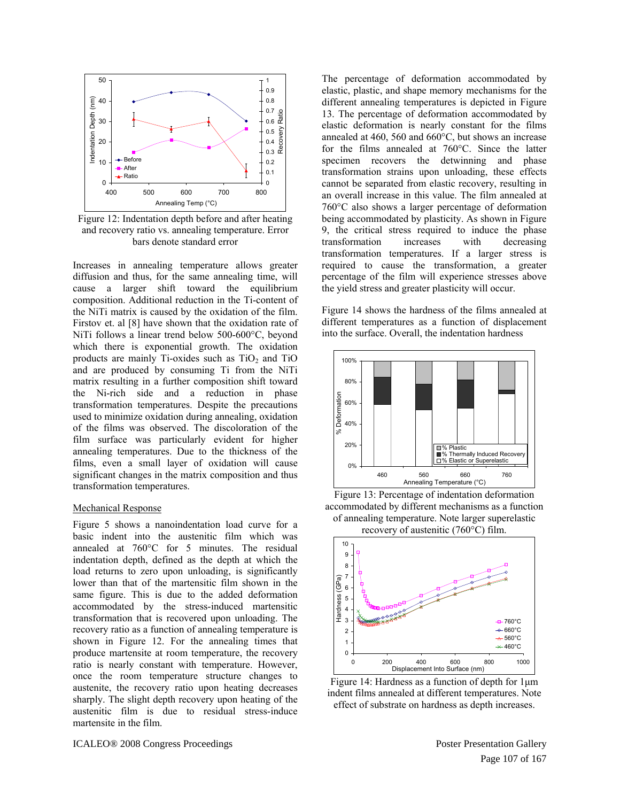

<span id="page-7-0"></span> Figure 12: Indentation depth before and after heating and recovery ratio vs. annealing temperature. Error bars denote standard error

Increases in annealing temperature allows greater diffusion and thus, for the same annealing time, will cause a larger shift toward the equilibrium composition. Additional reduction in the Ti-content of the NiTi matrix is caused by the oxidation of the film. Firstov et. al [8] have shown that the oxidation rate of NiTi follows a linear trend below 500-600°C, beyond which there is exponential growth. The oxidation products are mainly Ti-oxides such as  $TiO<sub>2</sub>$  and  $TiO$ and are produced by consuming Ti from the NiTi matrix resulting in a further composition shift toward the Ni-rich side and a reduction in phase transformation temperatures. Despite the precautions used to minimize oxidation during annealing, oxidation of the films was observed. The discoloration of the film surface was particularly evident for higher annealing temperatures. Due to the thickness of the films, even a small layer of oxidation will cause significant changes in the matrix composition and thus transformation temperatures.

#### <span id="page-7-1"></span>Mechanical Response

[Figure 5](#page-4-1) shows a nanoindentation load curve for a basic indent into the austenitic film which was annealed at 760°C for 5 minutes. The residual indentation depth, defined as the depth at which the load returns to zero upon unloading, is significantly lower than that of the martensitic film shown in the same figure. This is due to the added deformation accommodated by the stress-induced martensitic transformation that is recovered upon unloading. The recovery ratio as a function of annealing temperature is shown in [Figure 12.](#page-7-0) For the annealing times that produce martensite at room temperature, the recovery ratio is nearly constant with temperature. However, once the room temperature structure changes to austenite, the recovery ratio upon heating decreases sharply. The slight depth recovery upon heating of the austenitic film is due to residual stress-induce martensite in the film.

The percentage of deformation accommodated by elastic, plastic, and shape memory mechanisms for the different annealing temperatures is depicted in [Figure](#page-7-1)  [13](#page-7-1). The percentage of deformation accommodated by elastic deformation is nearly constant for the films annealed at 460, 560 and 660°C, but shows an increase for the films annealed at 760°C. Since the latter specimen recovers the detwinning and phase transformation strains upon unloading, these effects cannot be separated from elastic recovery, resulting in an overall increase in this value. The film annealed at 760°C also shows a larger percentage of deformation being accommodated by plasticity. As shown in [Figure](#page-6-0)  [9,](#page-6-0) the critical stress required to induce the phase transformation increases with decreasing transformation temperatures. If a larger stress is required to cause the transformation, a greater percentage of the film will experience stresses above the yield stress and greater plasticity will occur.

[Figure 14](#page-7-2) shows the hardness of the films annealed at different temperatures as a function of displacement into the surface. Overall, the indentation hardness







Figure 14: Hardness as a function of depth for 1μm indent films annealed at different temperatures. Note effect of substrate on hardness as depth increases.

<span id="page-7-2"></span>ICALEO® 2008 Congress Proceedings Proceedings Proceedings Proceedings Proceedings Proceedings Proceedings Proceedings Proceedings Proceedings Proceedings Proceedings Proceedings Proceedings Proceedings Proceedings Proceedi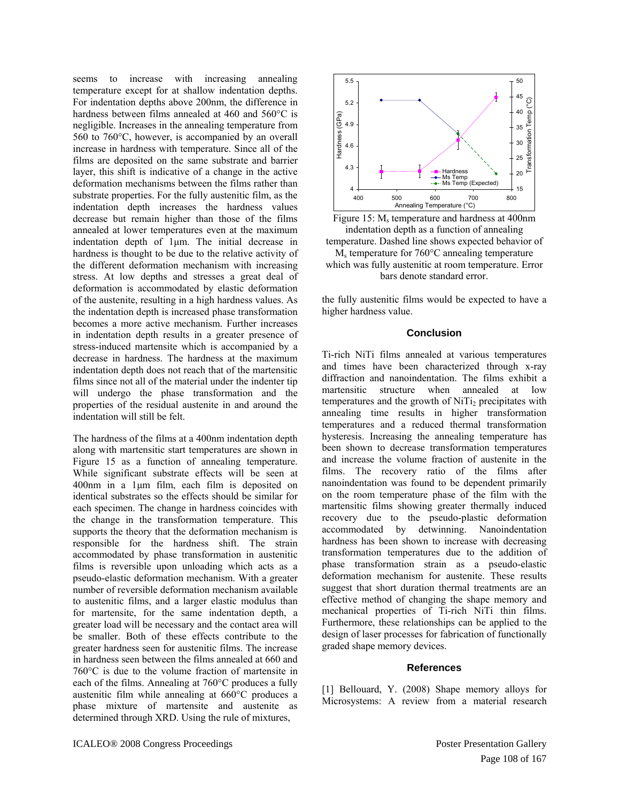<span id="page-8-0"></span>seems to increase with increasing annealing temperature except for at shallow indentation depths. For indentation depths above 200nm, the difference in hardness between films annealed at 460 and 560°C is negligible. Increases in the annealing temperature from 560 to 760°C, however, is accompanied by an overall increase in hardness with temperature. Since all of the films are deposited on the same substrate and barrier layer, this shift is indicative of a change in the active deformation mechanisms between the films rather than substrate properties. For the fully austenitic film, as the indentation depth increases the hardness values decrease but remain higher than those of the films annealed at lower temperatures even at the maximum indentation depth of 1μm. The initial decrease in hardness is thought to be due to the relative activity of the different deformation mechanism with increasing stress. At low depths and stresses a great deal of deformation is accommodated by elastic deformation of the austenite, resulting in a high hardness values. As the indentation depth is increased phase transformation becomes a more active mechanism. Further increases in indentation depth results in a greater presence of stress-induced martensite which is accompanied by a decrease in hardness. The hardness at the maximum indentation depth does not reach that of the martensitic films since not all of the material under the indenter tip will undergo the phase transformation and the properties of the residual austenite in and around the indentation will still be felt.

The hardness of the films at a 400nm indentation depth along with martensitic start temperatures are shown in [Figure 15](#page-8-0) as a function of annealing temperature. While significant substrate effects will be seen at 400nm in a 1μm film, each film is deposited on identical substrates so the effects should be similar for each specimen. The change in hardness coincides with the change in the transformation temperature. This supports the theory that the deformation mechanism is responsible for the hardness shift. The strain accommodated by phase transformation in austenitic films is reversible upon unloading which acts as a pseudo-elastic deformation mechanism. With a greater number of reversible deformation mechanism available to austenitic films, and a larger elastic modulus than for martensite, for the same indentation depth, a greater load will be necessary and the contact area will be smaller. Both of these effects contribute to the greater hardness seen for austenitic films. The increase in hardness seen between the films annealed at 660 and 760°C is due to the volume fraction of martensite in each of the films. Annealing at 760°C produces a fully austenitic film while annealing at 660°C produces a phase mixture of martensite and austenite as determined through XRD. Using the rule of mixtures,





the fully austenitic films would be expected to have a higher hardness value.

## **Conclusion**

Ti-rich NiTi films annealed at various temperatures and times have been characterized through x-ray diffraction and nanoindentation. The films exhibit a martensitic structure when annealed at low temperatures and the growth of NiTi<sub>2</sub> precipitates with annealing time results in higher transformation temperatures and a reduced thermal transformation hysteresis. Increasing the annealing temperature has been shown to decrease transformation temperatures and increase the volume fraction of austenite in the films. The recovery ratio of the films after nanoindentation was found to be dependent primarily on the room temperature phase of the film with the martensitic films showing greater thermally induced recovery due to the pseudo-plastic deformation accommodated by detwinning. Nanoindentation hardness has been shown to increase with decreasing transformation temperatures due to the addition of phase transformation strain as a pseudo-elastic deformation mechanism for austenite. These results suggest that short duration thermal treatments are an effective method of changing the shape memory and mechanical properties of Ti-rich NiTi thin films. Furthermore, these relationships can be applied to the design of laser processes for fabrication of functionally graded shape memory devices.

#### **References**

[1] Bellouard, Y. (2008) Shape memory alloys for Microsystems: A review from a material research